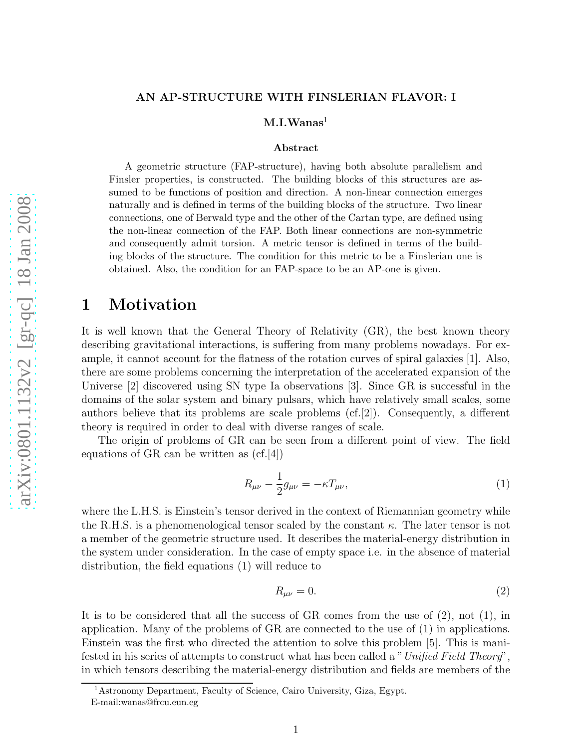### AN AP-STRUCTURE WITH FINSLERIAN FLAVOR: I

 $\rm M.I.Wanas^1$ 

#### Abstract

A geometric structure (FAP-structure), having both absolute parallelism and Finsler properties, is constructed. The building blocks of this structures are assumed to be functions of position and direction. A non-linear connection emerges naturally and is defined in terms of the building blocks of the structure. Two linear connections, one of Berwald type and the other of the Cartan type, are defined using the non-linear connection of the FAP. Both linear connections are non-symmetric and consequently admit torsion. A metric tensor is defined in terms of the building blocks of the structure. The condition for this metric to be a Finslerian one is obtained. Also, the condition for an FAP-space to be an AP-one is given.

### 1 Motivation

It is well known that the General Theory of Relativity (GR), the best known theory describing gravitational interactions, is suffering from many problems nowadays. For example, it cannot account for the flatness of the rotation curves of spiral galaxies [1]. Also, there are some problems concerning the interpretation of the accelerated expansion of the Universe [2] discovered using SN type Ia observations [3]. Since GR is successful in the domains of the solar system and binary pulsars, which have relatively small scales, some authors believe that its problems are scale problems  $(cf.[2])$ . Consequently, a different theory is required in order to deal with diverse ranges of scale.

The origin of problems of GR can be seen from a different point of view. The field equations of GR can be written as  $(cf.[4])$ 

$$
R_{\mu\nu} - \frac{1}{2}g_{\mu\nu} = -\kappa T_{\mu\nu},\tag{1}
$$

where the L.H.S. is Einstein's tensor derived in the context of Riemannian geometry while the R.H.S. is a phenomenological tensor scaled by the constant  $\kappa$ . The later tensor is not a member of the geometric structure used. It describes the material-energy distribution in the system under consideration. In the case of empty space i.e. in the absence of material distribution, the field equations (1) will reduce to

$$
R_{\mu\nu} = 0.\t\t(2)
$$

It is to be considered that all the success of  $GR$  comes from the use of  $(2)$ , not  $(1)$ , in application. Many of the problems of GR are connected to the use of (1) in applications. Einstein was the first who directed the attention to solve this problem [5]. This is manifested in his series of attempts to construct what has been called a "*Unified Field Theory*", in which tensors describing the material-energy distribution and fields are members of the

<sup>1</sup>Astronomy Department, Faculty of Science, Cairo University, Giza, Egypt.

E-mail:wanas@frcu.eun.eg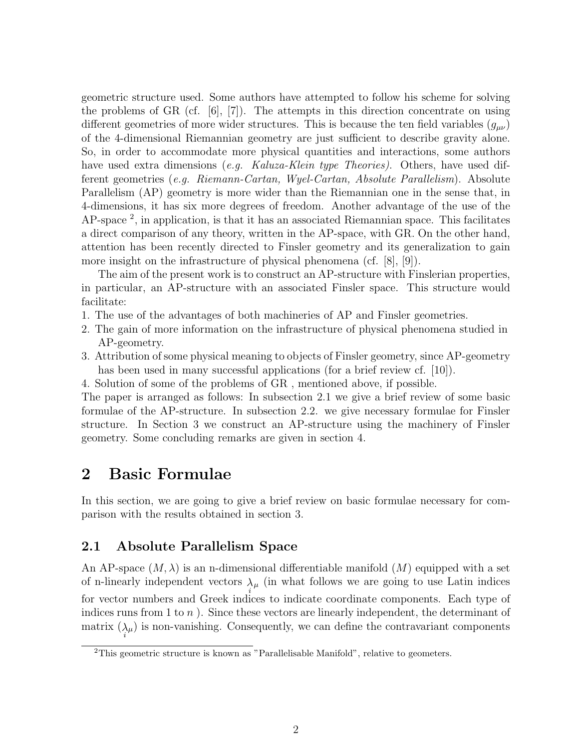geometric structure used. Some authors have attempted to follow his scheme for solving the problems of GR (cf.  $[6]$ ,  $[7]$ ). The attempts in this direction concentrate on using different geometries of more wider structures. This is because the ten field variables  $(g_{\mu\nu})$ of the 4-dimensional Riemannian geometry are just sufficient to describe gravity alone. So, in order to accommodate more physical quantities and interactions, some authors have used extra dimensions (*e.g. Kaluza-Klein type Theories)*. Others, have used different geometries (*e.g. Riemann-Cartan, Wyel-Cartan, Absolute Parallelism*). Absolute Parallelism (AP) geometry is more wider than the Riemannian one in the sense that, in 4-dimensions, it has six more degrees of freedom. Another advantage of the use of the AP-space<sup>2</sup>, in application, is that it has an associated Riemannian space. This facilitates a direct comparison of any theory, written in the AP-space, with GR. On the other hand, attention has been recently directed to Finsler geometry and its generalization to gain more insight on the infrastructure of physical phenomena (cf. [8], [9]).

The aim of the present work is to construct an AP-structure with Finslerian properties, in particular, an AP-structure with an associated Finsler space. This structure would facilitate:

- 1. The use of the advantages of both machineries of AP and Finsler geometries.
- 2. The gain of more information on the infrastructure of physical phenomena studied in AP-geometry.
- 3. Attribution of some physical meaning to objects of Finsler geometry, since AP-geometry has been used in many successful applications (for a brief review cf. [10]).
- 4. Solution of some of the problems of GR , mentioned above, if possible.

The paper is arranged as follows: In subsection 2.1 we give a brief review of some basic formulae of the AP-structure. In subsection 2.2. we give necessary formulae for Finsler structure. In Section 3 we construct an AP-structure using the machinery of Finsler geometry. Some concluding remarks are given in section 4.

# 2 Basic Formulae

In this section, we are going to give a brief review on basic formulae necessary for comparison with the results obtained in section 3.

### 2.1 Absolute Parallelism Space

An AP-space  $(M, \lambda)$  is an n-dimensional differentiable manifold  $(M)$  equipped with a set of n-linearly independent vectors  $\lambda_{\mu}$  (in what follows we are going to use Latin indices for vector numbers and Greek indices to indicate coordinate components. Each type of indices runs from 1 to  $n$ ). Since these vectors are linearly independent, the determinant of matrix  $(\lambda_{\mu})$  is non-vanishing. Consequently, we can define the contravariant components

<sup>&</sup>lt;sup>2</sup>This geometric structure is known as "Parallelisable Manifold", relative to geometers.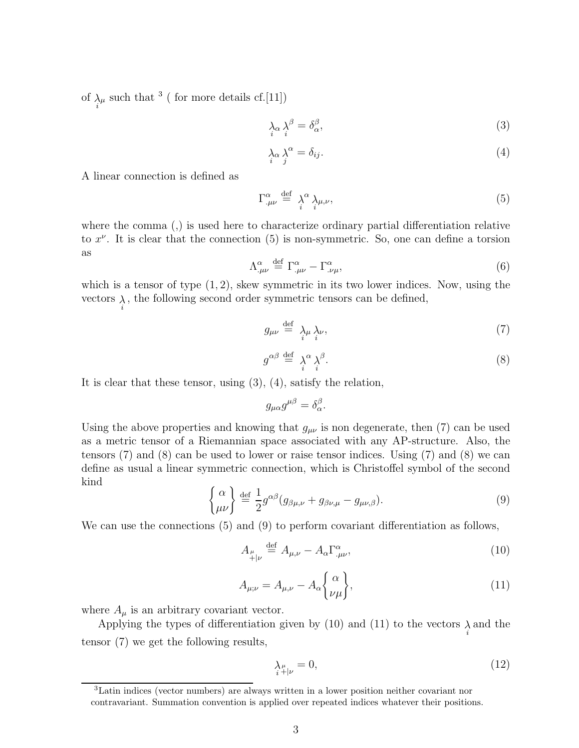of  $\lambda_{\mu}$  such that <sup>3</sup> ( for more details cf.[11])

$$
\lambda_{\alpha} \lambda_{i}^{\beta} = \delta_{\alpha}^{\beta},\tag{3}
$$

$$
\lambda_{\alpha} \lambda_{j}^{\alpha} = \delta_{ij}.\tag{4}
$$

A linear connection is defined as

$$
\Gamma^{\alpha}_{.\mu\nu} \stackrel{\text{def}}{=} \lambda_i^{\alpha} \lambda_{\mu,\nu},\tag{5}
$$

where the comma (,) is used here to characterize ordinary partial differentiation relative to  $x^{\nu}$ . It is clear that the connection (5) is non-symmetric. So, one can define a torsion as

$$
\Lambda^{\alpha}_{.\mu\nu} \stackrel{\text{def}}{=} \Gamma^{\alpha}_{.\mu\nu} - \Gamma^{\alpha}_{.\nu\mu},\tag{6}
$$

which is a tensor of type  $(1, 2)$ , skew symmetric in its two lower indices. Now, using the vectors  $\lambda_i$ , the following second order symmetric tensors can be defined,

$$
g_{\mu\nu} \stackrel{\text{def}}{=} \lambda_{\mu} \lambda_{\nu},\tag{7}
$$

$$
g^{\alpha\beta} \stackrel{\text{def}}{=} \lambda_i^{\alpha} \lambda_j^{\beta}.
$$
 (8)

It is clear that these tensor, using (3), (4), satisfy the relation,

$$
g_{\mu\alpha}g^{\mu\beta} = \delta_{\alpha}^{\beta}.
$$

Using the above properties and knowing that  $g_{\mu\nu}$  is non degenerate, then (7) can be used as a metric tensor of a Riemannian space associated with any AP-structure. Also, the tensors (7) and (8) can be used to lower or raise tensor indices. Using (7) and (8) we can define as usual a linear symmetric connection, which is Christoffel symbol of the second kind

$$
\begin{cases} \alpha \\ \mu\nu \end{cases} \stackrel{\text{def}}{=} \frac{1}{2} g^{\alpha\beta} (g_{\beta\mu,\nu} + g_{\beta\nu,\mu} - g_{\mu\nu,\beta}). \tag{9}
$$

We can use the connections (5) and (9) to perform covariant differentiation as follows,

$$
A_{\mu}^{\mu} \stackrel{\text{def}}{=} A_{\mu,\nu} - A_{\alpha} \Gamma^{\alpha}_{,\mu\nu}, \tag{10}
$$

$$
A_{\mu;\nu} = A_{\mu;\nu} - A_{\alpha} \begin{Bmatrix} \alpha \\ \nu \mu \end{Bmatrix},\tag{11}
$$

where  $A_{\mu}$  is an arbitrary covariant vector.

Applying the types of differentiation given by (10) and (11) to the vectors  $\lambda_{i}$  and the tensor (7) we get the following results,

$$
\lambda_{\mu}^{\mu} = 0,\tag{12}
$$

<sup>3</sup>Latin indices (vector numbers) are always written in a lower position neither covariant nor contravariant. Summation convention is applied over repeated indices whatever their positions.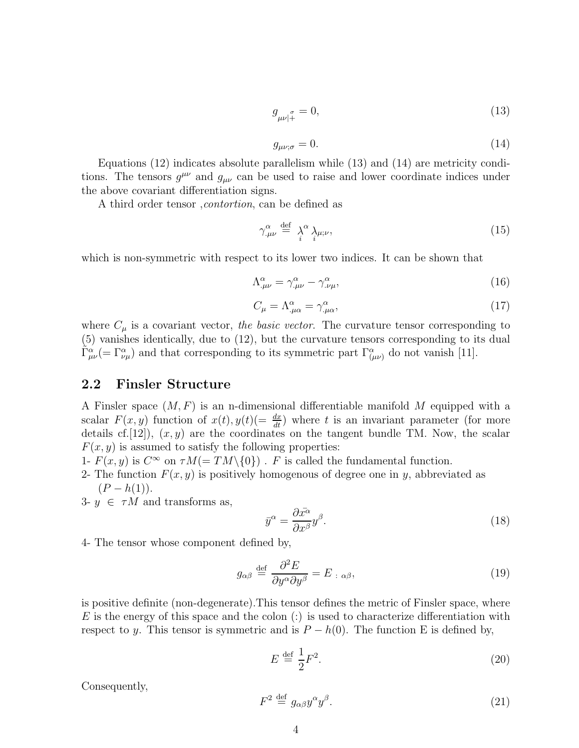$$
g_{\mu\nu|_{+}}^{\quad \sigma} = 0,\tag{13}
$$

$$
g_{\mu\nu;\sigma} = 0.\tag{14}
$$

Equations (12) indicates absolute parallelism while (13) and (14) are metricity conditions. The tensors  $g^{\mu\nu}$  and  $g_{\mu\nu}$  can be used to raise and lower coordinate indices under the above covariant differentiation signs.

A third order tensor ,*contortion*, can be defined as

$$
\gamma^{\alpha}_{.\mu\nu} \stackrel{\text{def}}{=} \lambda_i^{\alpha} \lambda_{\mu;\nu},\tag{15}
$$

which is non-symmetric with respect to its lower two indices. It can be shown that

$$
\Lambda^{\alpha}_{.\mu\nu} = \gamma^{\alpha}_{.\mu\nu} - \gamma^{\alpha}_{.\nu\mu},\tag{16}
$$

$$
C_{\mu} = \Lambda^{\alpha}_{.\mu\alpha} = \gamma^{\alpha}_{.\mu\alpha},\tag{17}
$$

where  $C_{\mu}$  is a covariant vector, *the basic vector*. The curvature tensor corresponding to (5) vanishes identically, due to (12), but the curvature tensors corresponding to its dual  $\tilde{\Gamma}^{\alpha}_{\mu\nu}$  (=  $\Gamma^{\alpha}_{\nu\mu}$ ) and that corresponding to its symmetric part  $\Gamma^{\alpha}_{(\mu\nu)}$  do not vanish [11].

### 2.2 Finsler Structure

A Finsler space  $(M, F)$  is an n-dimensional differentiable manifold M equipped with a scalar  $F(x, y)$  function of  $x(t), y(t) (= \frac{dx}{dt})$  where t is an invariant parameter (for more details cf. [12]),  $(x, y)$  are the coordinates on the tangent bundle TM. Now, the scalar  $F(x, y)$  is assumed to satisfy the following properties:

1-  $F(x, y)$  is  $C^{\infty}$  on  $\tau M (= TM \setminus \{0\})$ . F is called the fundamental function.

2- The function  $F(x, y)$  is positively homogenous of degree one in y, abbreviated as  $(P - h(1)).$ 

3-  $y \in \tau M$  and transforms as,

$$
\bar{y}^{\alpha} = \frac{\partial \bar{x^{\alpha}}}{\partial x^{\beta}} y^{\beta}.
$$
\n(18)

4- The tensor whose component defined by,

$$
g_{\alpha\beta} \stackrel{\text{def}}{=} \frac{\partial^2 E}{\partial y^{\alpha} \partial y^{\beta}} = E_{\alpha\beta}, \tag{19}
$$

is positive definite (non-degenerate).This tensor defines the metric of Finsler space, where  $E$  is the energy of this space and the colon (:) is used to characterize differentiation with respect to y. This tensor is symmetric and is  $P - h(0)$ . The function E is defined by,

$$
E \stackrel{\text{def}}{=} \frac{1}{2} F^2. \tag{20}
$$

Consequently,

$$
F^2 \stackrel{\text{def}}{=} g_{\alpha\beta} y^{\alpha} y^{\beta}.
$$
 (21)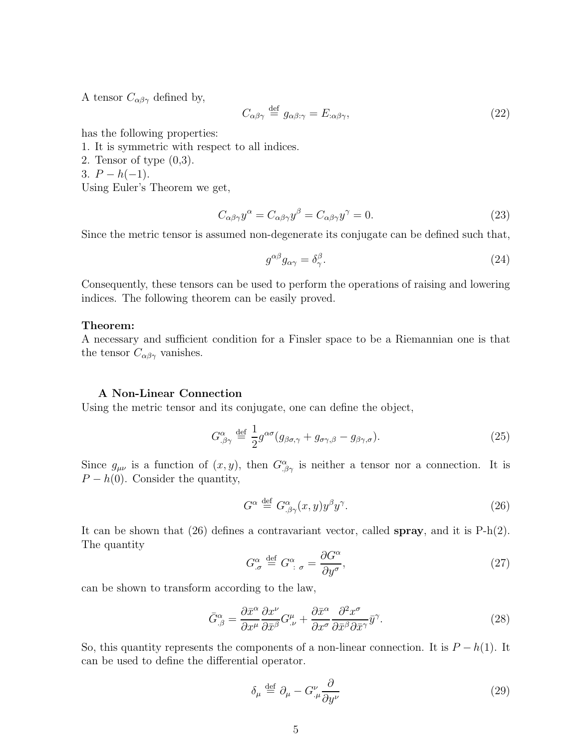A tensor  $C_{\alpha\beta\gamma}$  defined by,

$$
C_{\alpha\beta\gamma} \stackrel{\text{def}}{=} g_{\alpha\beta:\gamma} = E_{:\alpha\beta\gamma},\tag{22}
$$

has the following properties:

- 1. It is symmetric with respect to all indices.
- 2. Tensor of type (0,3).
- 3.  $P h(-1)$ .

Using Euler's Theorem we get,

$$
C_{\alpha\beta\gamma}y^{\alpha} = C_{\alpha\beta\gamma}y^{\beta} = C_{\alpha\beta\gamma}y^{\gamma} = 0.
$$
\n(23)

Since the metric tensor is assumed non-degenerate its conjugate can be defined such that,

$$
g^{\alpha\beta}g_{\alpha\gamma} = \delta^{\beta}_{\gamma}.
$$
 (24)

Consequently, these tensors can be used to perform the operations of raising and lowering indices. The following theorem can be easily proved.

### Theorem:

A necessary and sufficient condition for a Finsler space to be a Riemannian one is that the tensor  $C_{\alpha\beta\gamma}$  vanishes.

#### A Non-Linear Connection

Using the metric tensor and its conjugate, one can define the object,

$$
G^{\alpha}_{.\beta\gamma} \stackrel{\text{def}}{=} \frac{1}{2} g^{\alpha\sigma} (g_{\beta\sigma,\gamma} + g_{\sigma\gamma,\beta} - g_{\beta\gamma,\sigma}). \tag{25}
$$

Since  $g_{\mu\nu}$  is a function of  $(x, y)$ , then  $G^{\alpha}_{\beta\gamma}$  is neither a tensor nor a connection. It is  $P - h(0)$ . Consider the quantity,

$$
G^{\alpha} \stackrel{\text{def}}{=} G^{\alpha}_{\beta\gamma}(x,y)y^{\beta}y^{\gamma}.
$$
 (26)

It can be shown that  $(26)$  defines a contravariant vector, called **spray**, and it is  $P-h(2)$ . The quantity

$$
G^{\alpha}_{.\sigma} \stackrel{\text{def}}{=} G^{\alpha}_{\ \colon \sigma} = \frac{\partial G^{\alpha}}{\partial y^{\sigma}},\tag{27}
$$

can be shown to transform according to the law,

$$
\bar{G}^{\alpha}_{,\beta} = \frac{\partial \bar{x}^{\alpha}}{\partial x^{\mu}} \frac{\partial x^{\nu}}{\partial \bar{x}^{\beta}} G^{\mu}_{,\nu} + \frac{\partial \bar{x}^{\alpha}}{\partial x^{\sigma}} \frac{\partial^{2} x^{\sigma}}{\partial \bar{x}^{\beta} \partial \bar{x}^{\gamma}} \bar{y}^{\gamma}.
$$
\n(28)

So, this quantity represents the components of a non-linear connection. It is  $P - h(1)$ . It can be used to define the differential operator.

$$
\delta_{\mu} \stackrel{\text{def}}{=} \partial_{\mu} - G^{\nu}_{.\mu} \frac{\partial}{\partial y^{\nu}}
$$
\n(29)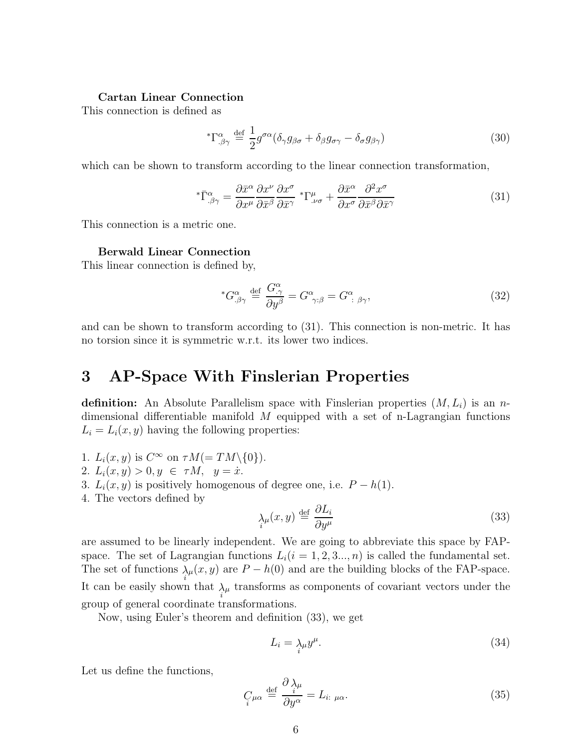#### Cartan Linear Connection

This connection is defined as

$$
{}^*{\Gamma^{\alpha}_{,\beta\gamma}} \stackrel{\text{def}}{=} \frac{1}{2} g^{\sigma\alpha} (\delta_{\gamma} g_{\beta\sigma} + \delta_{\beta} g_{\sigma\gamma} - \delta_{\sigma} g_{\beta\gamma}) \tag{30}
$$

which can be shown to transform according to the linear connection transformation,

$$
{}^{*}\bar{\Gamma}^{\alpha}_{.\beta\gamma} = \frac{\partial \bar{x}^{\alpha}}{\partial x^{\mu}} \frac{\partial x^{\nu}}{\partial \bar{x}^{\beta}} \frac{\partial x^{\sigma}}{\partial \bar{x}^{\gamma}} {}^{*}\Gamma^{\mu}_{.\nu\sigma} + \frac{\partial \bar{x}^{\alpha}}{\partial x^{\sigma}} \frac{\partial^{2} x^{\sigma}}{\partial \bar{x}^{\beta} \partial \bar{x}^{\gamma}}
$$
(31)

This connection is a metric one.

### Berwald Linear Connection

This linear connection is defined by,

$$
{}^*G^{\alpha}_{.\beta\gamma} \stackrel{\text{def}}{=} \frac{G^{\alpha}_{.\gamma}}{\partial y^{\beta}} = G^{\alpha}_{\gamma,\beta} = G^{\alpha}_{\beta\gamma},\tag{32}
$$

and can be shown to transform according to (31). This connection is non-metric. It has no torsion since it is symmetric w.r.t. its lower two indices.

## 3 AP-Space With Finslerian Properties

definition: An Absolute Parallelism space with Finslerian properties  $(M, L_i)$  is an ndimensional differentiable manifold  $M$  equipped with a set of n-Lagrangian functions  $L_i = L_i(x, y)$  having the following properties:

- 1.  $L_i(x, y)$  is  $C^{\infty}$  on  $\tau M (= TM \setminus \{0\}).$
- 2.  $L_i(x, y) > 0, y \in \tau M, y = \dot{x}.$
- 3.  $L_i(x, y)$  is positively homogenous of degree one, i.e.  $P h(1)$ .
- 4. The vectors defined by

$$
\lambda_{\mu}(x,y) \stackrel{\text{def}}{=} \frac{\partial L_i}{\partial y^{\mu}} \tag{33}
$$

are assumed to be linearly independent. We are going to abbreviate this space by FAPspace. The set of Lagrangian functions  $L_i(i = 1, 2, 3..., n)$  is called the fundamental set. The set of functions  $\lambda_{\mu}(x, y)$  are  $P - h(0)$  and are the building blocks of the FAP-space. It can be easily shown that  $\lambda_{\mu}$  transforms as components of covariant vectors under the group of general coordinate transformations.

Now, using Euler's theorem and definition (33), we get

$$
L_i = \lambda_i u y^\mu. \tag{34}
$$

Let us define the functions,

$$
C_{\mu\alpha} \stackrel{\text{def}}{=} \frac{\partial \lambda_{\mu}}{\partial y^{\alpha}} = L_{i:\ \mu\alpha}.
$$
 (35)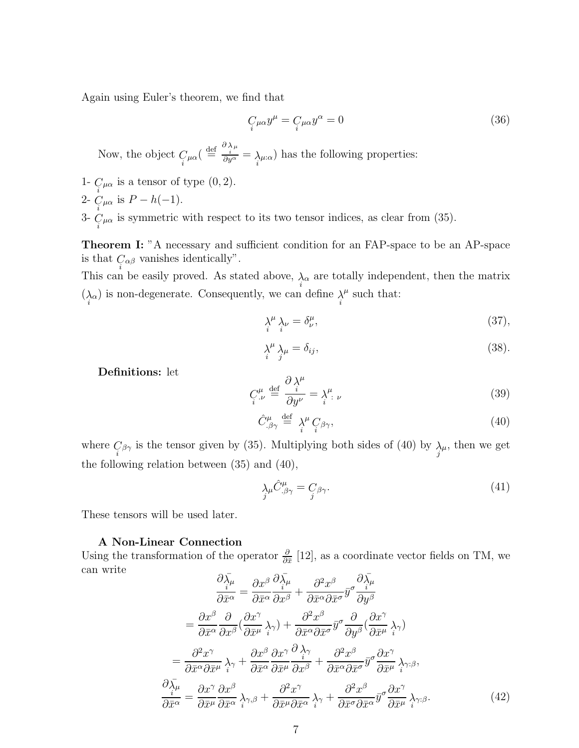Again using Euler's theorem, we find that

$$
C_{\mu\alpha}y^{\mu} = C_{\mu\alpha}y^{\alpha} = 0
$$
\n(36)

Now, the object  $C_{\mu\alpha}$  ( $\stackrel{\text{def}}{=} \frac{\partial \lambda_{\mu}}{\partial y^{\alpha}} = \lambda_{\mu:\alpha}$ ) has the following properties:

- 1-  $C_{\mu\alpha}$  is a tensor of type  $(0, 2)$ .
- 2-  $C_{\mu\alpha}$  is  $P h(-1)$ . i

3-  $C_{\mu\alpha}$  is symmetric with respect to its two tensor indices, as clear from (35).

Theorem I: "A necessary and sufficient condition for an FAP-space to be an AP-space is that  $C_{\alpha\beta}$  vanishes identically".

This can be easily proved. As stated above,  $\lambda_{\alpha}$  are totally independent, then the matrix  $(\underset{i}{\lambda}\alpha)$  is non-degenerate. Consequently, we can define  $\underset{i}{\lambda}$  $^\mu$  such that:

$$
\lambda_i^{\mu} \lambda_{\nu} = \delta_{\nu}^{\mu},\tag{37}
$$

$$
\lambda_i^{\mu} \lambda_{\mu} = \delta_{ij},\tag{38}
$$

Definitions: let

$$
C^{\mu}_{i} \stackrel{\text{def}}{=} \frac{\partial \lambda^{\mu}}{\partial y^{\nu}} = \lambda^{\mu}_{i} \nu \tag{39}
$$

$$
\hat{C}^{\mu}_{.\beta\gamma} \stackrel{\text{def}}{=} \lambda^{\mu} C_{\beta\gamma}, \tag{40}
$$

where  $C_{\beta\gamma}$  is the tensor given by (35). Multiplying both sides of (40) by  $\lambda_{\mu}$ , then we get the following relation between (35) and (40),

$$
\lambda_{j} \hat{C}^{\mu}_{,\beta\gamma} = C_{\beta\gamma}.\tag{41}
$$

These tensors will be used later.

### A Non-Linear Connection

Using the transformation of the operator  $\frac{\partial}{\partial \bar{x}}$  [12], as a coordinate vector fields on TM, we can write

$$
\frac{\partial \bar{\lambda}_{\mu}}{\partial \bar{x}^{\alpha}} = \frac{\partial x^{\beta}}{\partial \bar{x}^{\alpha}} \frac{\partial \bar{\lambda}_{\mu}}{\partial x^{\beta}} + \frac{\partial^{2} x^{\beta}}{\partial \bar{x}^{\alpha} \partial \bar{x}^{\sigma}} \bar{y}^{\sigma} \frac{\partial \bar{\lambda}_{\mu}}{\partial y^{\beta}} \n= \frac{\partial x^{\beta}}{\partial \bar{x}^{\alpha}} \frac{\partial}{\partial x^{\beta}} (\frac{\partial x^{\gamma}}{\partial \bar{x}^{\mu}} \frac{\lambda}{\gamma}) + \frac{\partial^{2} x^{\beta}}{\partial \bar{x}^{\alpha} \partial \bar{x}^{\sigma}} \bar{y}^{\sigma} \frac{\partial}{\partial y^{\beta}} (\frac{\partial x^{\gamma}}{\partial \bar{x}^{\mu}} \frac{\lambda}{\gamma}) \n= \frac{\partial^{2} x^{\gamma}}{\partial \bar{x}^{\alpha} \partial \bar{x}^{\mu}} \frac{\lambda}{\gamma} + \frac{\partial x^{\beta}}{\partial \bar{x}^{\alpha}} \frac{\partial x^{\gamma}}{\partial \bar{x}^{\mu}} \frac{\partial}{\partial x^{\beta}} + \frac{\partial^{2} x^{\beta}}{\partial \bar{x}^{\alpha} \partial \bar{x}^{\sigma}} \bar{y}^{\sigma} \frac{\partial x^{\gamma}}{\partial \bar{x}^{\mu}} \frac{\lambda}{\gamma} \n= \frac{\partial x^{\gamma}}{\partial \bar{x}^{\mu}} \frac{\partial x^{\beta}}{\partial \bar{x}^{\mu}} \frac{\partial x^{\gamma}}{\partial \bar{x}^{\alpha}} \frac{\partial x^{\gamma}}{\partial \bar{x}^{\mu}} \frac{\partial x^{\gamma}}{\partial \bar{x}^{\alpha}} + \frac{\partial^{2} x^{\beta}}{\partial \bar{x}^{\sigma} \partial \bar{x}^{\alpha}} \bar{y}^{\sigma} \frac{\partial x^{\gamma}}{\partial \bar{x}^{\mu}} \frac{\lambda}{\gamma} \n= \frac{\partial x^{\gamma}}{\partial \bar{x}^{\mu}} \frac{\partial x^{\beta}}{\partial \bar{x}^{\alpha}} \frac{\lambda}{\gamma} \n+ \frac{\partial^{2} x^{\beta}}{\partial \bar{x}^{\sigma} \partial \bar{x}^{\alpha}} \bar{y}^{\sigma} \frac{\partial x^{\gamma}}{\partial \bar{x}^{\mu}} \frac{\lambda}{\gamma} \n= (42)
$$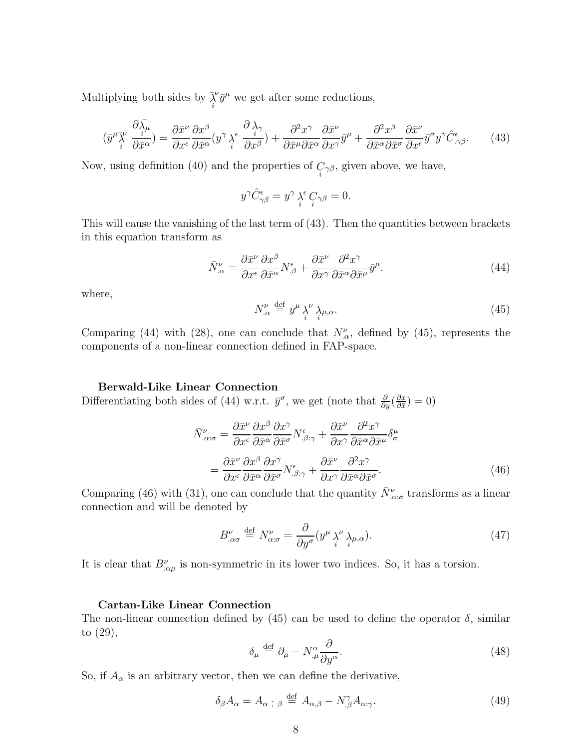Multiplying both sides by  $\vec{\lambda}$  $\sqrt{\bar{y}}^{\mu}$  we get after some reductions,

$$
(\bar{y}^{\mu}\bar{\chi}^{\nu}\frac{\partial \bar{\chi}_{\mu}}{\partial \bar{x}^{\alpha}}) = \frac{\partial \bar{x}^{\nu}}{\partial x^{\epsilon}}\frac{\partial x^{\beta}}{\partial \bar{x}^{\alpha}}(y^{\gamma}\bar{\chi}^{\epsilon}\frac{\partial \bar{\chi}^{\gamma}}{\partial x^{\beta}}) + \frac{\partial^{2} x^{\gamma}}{\partial \bar{x}^{\mu}}\frac{\partial \bar{x}^{\nu}}{\partial x^{\alpha}}\bar{y}^{\mu} + \frac{\partial^{2} x^{\beta}}{\partial \bar{x}^{\alpha}}\frac{\partial \bar{x}^{\nu}}{\partial x^{\epsilon}}\bar{y}^{\sigma}y^{\gamma}\hat{C}^{\epsilon}_{,\gamma\beta}.
$$
 (43)

Now, using definition (40) and the properties of  $C_{\gamma\beta}$ , given above, we have,

$$
y^{\gamma} \hat{C}^{\epsilon}_{\gamma\beta} = y^{\gamma} \lambda_i^{\epsilon} C_{\gamma\beta} = 0.
$$

This will cause the vanishing of the last term of (43). Then the quantities between brackets in this equation transform as

$$
\bar{N}^{\nu}_{\alpha} = \frac{\partial \bar{x}^{\nu}}{\partial x^{\epsilon}} \frac{\partial x^{\beta}}{\partial \bar{x}^{\alpha}} N^{\epsilon}_{\beta} + \frac{\partial \bar{x}^{\nu}}{\partial x^{\gamma}} \frac{\partial^{2} x^{\gamma}}{\partial \bar{x}^{\alpha} \partial \bar{x}^{\mu}} \bar{y}^{\mu}.
$$
\n(44)

where,

$$
N^{\nu}_{.\alpha} \stackrel{\text{def}}{=} y^{\mu} \lambda^{\nu} \lambda_{\mu,\alpha}.
$$
 (45)

Comparing (44) with (28), one can conclude that  $N^{\nu}_{\alpha}$ , defined by (45), represents the components of a non-linear connection defined in FAP-space.

### Berwald-Like Linear Connection

Differentiating both sides of (44) w.r.t.  $\bar{y}^{\sigma}$ , we get (note that  $\frac{\partial}{\partial y}(\frac{\partial x}{\partial \bar{x}})$  $\frac{\partial x}{\partial \bar{x}}$ ) = 0)

$$
\bar{N}^{\nu}_{\alpha:\sigma} = \frac{\partial \bar{x}^{\nu}}{\partial x^{\epsilon}} \frac{\partial x^{\beta}}{\partial \bar{x}^{\alpha}} \frac{\partial x^{\gamma}}{\partial \bar{x}^{\sigma}} N^{\epsilon}_{\beta:\gamma} + \frac{\partial \bar{x}^{\nu}}{\partial x^{\gamma}} \frac{\partial^{2} x^{\gamma}}{\partial \bar{x}^{\alpha} \partial \bar{x}^{\mu}} \delta^{\mu}_{\sigma} \n= \frac{\partial \bar{x}^{\nu}}{\partial x^{\epsilon}} \frac{\partial x^{\beta}}{\partial \bar{x}^{\alpha}} \frac{\partial x^{\gamma}}{\partial \bar{x}^{\sigma}} N^{\epsilon}_{\beta:\gamma} + \frac{\partial \bar{x}^{\nu}}{\partial x^{\gamma}} \frac{\partial^{2} x^{\gamma}}{\partial \bar{x}^{\alpha} \partial \bar{x}^{\sigma}}.
$$
\n(46)

Comparing (46) with (31), one can conclude that the quantity  $\bar{N}^{\nu}_{\alpha\sigma}$  transforms as a linear connection and will be denoted by

$$
B^{\nu}_{.\alpha\sigma} \stackrel{\text{def}}{=} N^{\nu}_{\alpha:\sigma} = \frac{\partial}{\partial y^{\sigma}} (y^{\mu} \lambda^{\nu} \lambda_{\mu,\alpha}). \tag{47}
$$

It is clear that  $B^{\nu}_{\alpha\mu}$  is non-symmetric in its lower two indices. So, it has a torsion.

### Cartan-Like Linear Connection

The non-linear connection defined by (45) can be used to define the operator  $\delta$ , similar to (29),

$$
\delta_{\mu} \stackrel{\text{def}}{=} \partial_{\mu} - N^{\alpha}_{.\mu} \frac{\partial}{\partial y^{\alpha}}.
$$
\n(48)

So, if  $A_{\alpha}$  is an arbitrary vector, then we can define the derivative,

$$
\delta_{\beta} A_{\alpha} = A_{\alpha \; ; \; \beta} \stackrel{\text{def}}{=} A_{\alpha,\beta} - N^{\gamma}_{.\beta} A_{\alpha:\gamma}.
$$
 (49)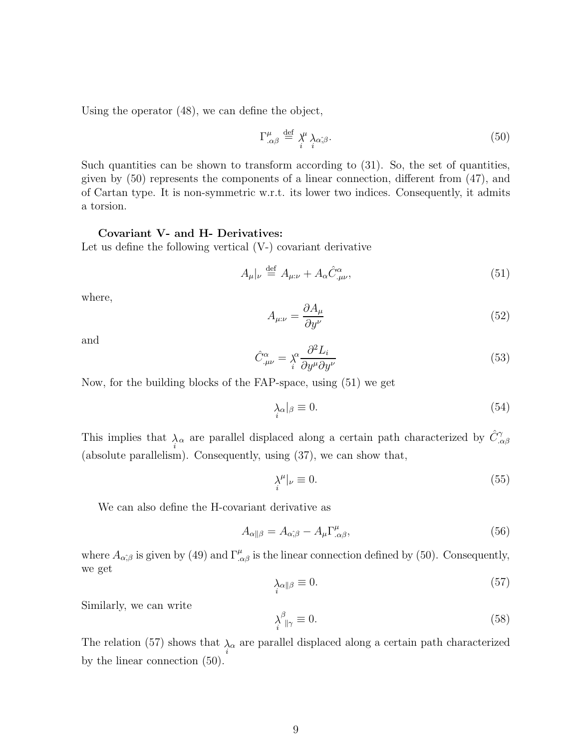Using the operator (48), we can define the object,

$$
\Gamma^{\mu}_{.\alpha\beta} \stackrel{\text{def}}{=} \chi^{\mu} \lambda_{\alpha\hat{,}\beta}.
$$
 (50)

Such quantities can be shown to transform according to (31). So, the set of quantities, given by (50) represents the components of a linear connection, different from (47), and of Cartan type. It is non-symmetric w.r.t. its lower two indices. Consequently, it admits a torsion.

### Covariant V- and H- Derivatives:

Let us define the following vertical (V-) covariant derivative

$$
A_{\mu}|_{\nu} \stackrel{\text{def}}{=} A_{\mu:\nu} + A_{\alpha} \hat{C}^{\alpha}_{.\mu\nu}, \tag{51}
$$

where,

$$
A_{\mu:\nu} = \frac{\partial A_{\mu}}{\partial y^{\nu}}
$$
\n(52)

and

$$
\hat{C}^{\alpha}_{.\mu\nu} = \chi^{\alpha} \frac{\partial^2 L_i}{\partial y^{\mu} \partial y^{\nu}}
$$
\n(53)

Now, for the building blocks of the FAP-space, using (51) we get

$$
\lambda_{\alpha}|_{\beta} \equiv 0. \tag{54}
$$

This implies that  $\lambda_{\alpha}$  are parallel displaced along a certain path characterized by  $\hat{C}^{\gamma}_{,\alpha\beta}$ (absolute parallelism). Consequently, using (37), we can show that,

$$
\lambda_i^{\mu}|_{\nu} \equiv 0. \tag{55}
$$

We can also define the H-covariant derivative as

$$
A_{\alpha\|\beta} = A_{\alpha\hat{,}\beta} - A_{\mu} \Gamma^{\mu}_{.\alpha\beta},\tag{56}
$$

where  $A_{\alpha,\beta}$  is given by (49) and  $\Gamma^{\mu}_{,\alpha\beta}$  is the linear connection defined by (50). Consequently, we get

$$
\lambda_{\alpha\beta} \equiv 0. \tag{57}
$$

Similarly, we can write

$$
\lambda_i^{\beta}{}_{\parallel \gamma} \equiv 0. \tag{58}
$$

The relation (57) shows that  $\lambda_{\alpha}$  are parallel displaced along a certain path characterized by the linear connection (50).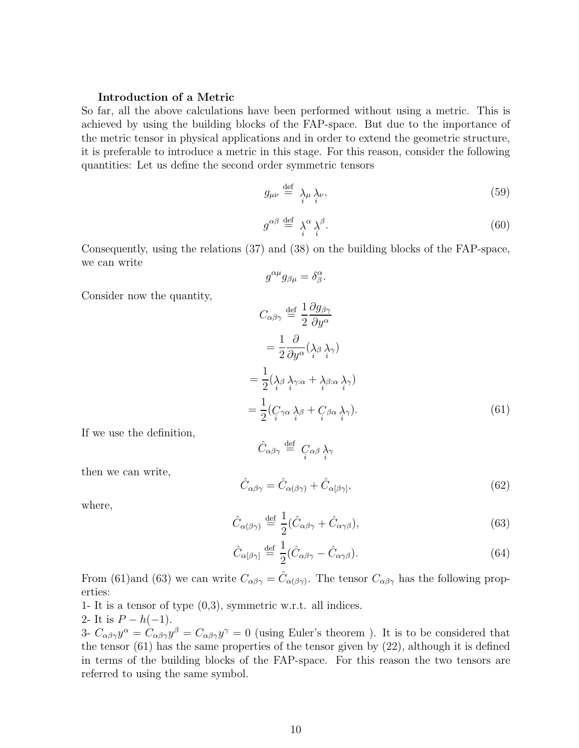### Introduction of a Metric

So far, all the above calculations have been performed without using a metric. This is achieved by using the building blocks of the FAP-space. But due to the importance of the metric tensor in physical applications and in order to extend the geometric structure, it is preferable to introduce a metric in this stage. For this reason, consider the following quantities: Let us define the second order symmetric tensors

$$
g_{\mu\nu} \stackrel{\text{def}}{=} \lambda_{\mu} \lambda_{\nu}, \tag{59}
$$

$$
g^{\alpha\beta} \stackrel{\text{def}}{=} \lambda_i^{\alpha} \lambda_j^{\beta}.
$$
 (60)

Consequently, using the relations (37) and (38) on the building blocks of the FAP-space, we can write

 $g^{\alpha\mu}g_{\beta\mu}=\delta^{\alpha}_{\beta}.$ 

$$
C_{\alpha\beta\gamma} \stackrel{\text{def}}{=} \frac{1}{2} \frac{\partial g_{\beta\gamma}}{\partial y^{\alpha}}
$$
  

$$
= \frac{1}{2} \frac{\partial}{\partial y^{\alpha}} (\lambda_{\beta} \lambda_{\gamma})
$$
  

$$
= \frac{1}{2} (\lambda_{\beta} \lambda_{\gamma:\alpha} + \lambda_{\beta:\alpha} \lambda_{\gamma})
$$
  

$$
= \frac{1}{2} (C_{\gamma\alpha} \lambda_{\beta} + C_{\beta\alpha} \lambda_{\gamma}).
$$
 (61)

If we use the definition,

Consider now the quantity,

then we can write,

$$
\hat{C}_{\alpha\beta\gamma} = \hat{C}_{\alpha(\beta\gamma)} + \hat{C}_{\alpha[\beta\gamma]},
$$
\n(62)

where,

$$
\hat{C}_{\alpha(\beta\gamma)} \stackrel{\text{def}}{=} \frac{1}{2} (\hat{C}_{\alpha\beta\gamma} + \hat{C}_{\alpha\gamma\beta}), \tag{63}
$$

$$
\hat{C}_{\alpha[\beta\gamma]} \stackrel{\text{def}}{=} \frac{1}{2} (\hat{C}_{\alpha\beta\gamma} - \hat{C}_{\alpha\gamma\beta}). \tag{64}
$$

From (61)and (63) we can write  $C_{\alpha\beta\gamma} = \hat{C}_{\alpha(\beta\gamma)}$ . The tensor  $C_{\alpha\beta\gamma}$  has the following properties:

 $\hat{C}_{\alpha\beta\gamma} \stackrel{\text{def}}{=} \ _{C}_{\alpha\beta}\underset{i}{\lambda}_{\gamma}$ 

- 1- It is a tensor of type (0,3), symmetric w.r.t. all indices.
- 2- It is  $P h(-1)$ .

3-  $C_{\alpha\beta\gamma}y^{\alpha} = C_{\alpha\beta\gamma}y^{\beta} = C_{\alpha\beta\gamma}y^{\gamma} = 0$  (using Euler's theorem). It is to be considered that the tensor (61) has the same properties of the tensor given by (22), although it is defined in terms of the building blocks of the FAP-space. For this reason the two tensors are referred to using the same symbol.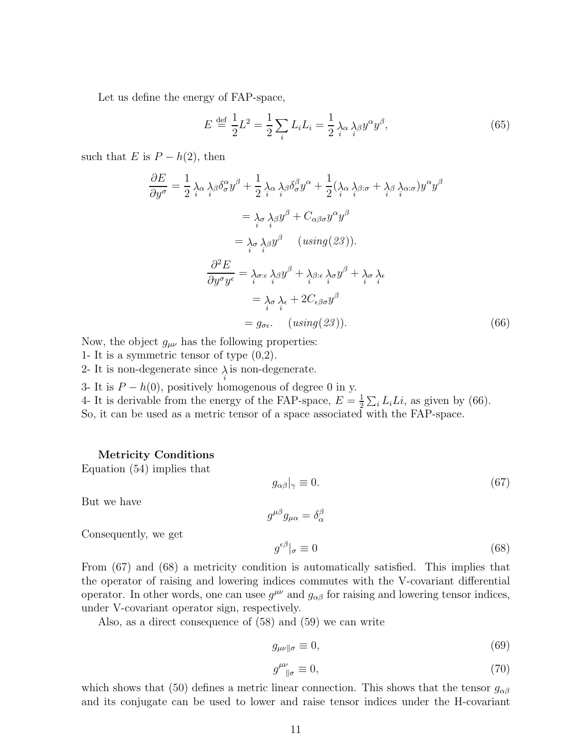Let us define the energy of FAP-space,

$$
E \stackrel{\text{def}}{=} \frac{1}{2}L^2 = \frac{1}{2} \sum_{i} L_i L_i = \frac{1}{2} \lambda_\alpha \lambda_\beta y^\alpha y^\beta, \tag{65}
$$

such that E is  $P - h(2)$ , then

$$
\frac{\partial E}{\partial y^{\sigma}} = \frac{1}{2} \lambda_{\alpha} \lambda_{\beta} \delta_{\sigma}^{\alpha} y^{\beta} + \frac{1}{2} \lambda_{\alpha} \lambda_{\beta} \delta_{\sigma}^{\beta} y^{\alpha} + \frac{1}{2} (\lambda_{\alpha} \lambda_{\beta} \delta_{\sigma} + \lambda_{\beta} \lambda_{\alpha} \delta_{\sigma} y^{\alpha} y^{\beta})
$$
  
\n
$$
= \lambda_{\sigma} \lambda_{\beta} y^{\beta} + C_{\alpha \beta \sigma} y^{\alpha} y^{\beta}
$$
  
\n
$$
= \lambda_{\sigma} \lambda_{\beta} y^{\beta} \quad (using (23)).
$$
  
\n
$$
\frac{\partial^{2} E}{\partial y^{\sigma} y^{\epsilon}} = \lambda_{\sigma : \epsilon} \lambda_{\beta} y^{\beta} + \lambda_{\beta} \delta_{\epsilon} \lambda_{\sigma} y^{\beta} + \lambda_{\sigma} \lambda_{\epsilon}
$$
  
\n
$$
= \lambda_{\sigma} \lambda_{\epsilon} + 2C_{\epsilon \beta \sigma} y^{\beta}
$$
  
\n
$$
= g_{\sigma \epsilon}. \quad (using (23)).
$$
 (66)

Now, the object  $g_{\mu\nu}$  has the following properties:

- 1- It is a symmetric tensor of type (0,2).
- 2- It is non-degenerate since  $\lambda$  is non-degenerate.
- 3- It is  $P h(0)$ , positively homogenous of degree 0 in y.

4- It is derivable from the energy of the FAP-space,  $E = \frac{1}{2}$  $\frac{1}{2} \sum_i L_i L_i$ , as given by (66). So, it can be used as a metric tensor of a space associated with the FAP-space.

#### Metricity Conditions

Equation (54) implies that

$$
g_{\alpha\beta}|_{\gamma} \equiv 0. \tag{67}
$$

But we have

Consequently, we get

$$
g^{\mu\beta}g_{\mu\alpha}=\delta_{\alpha}^{\beta}
$$

$$
g^{\epsilon\beta}|_{\sigma} \equiv 0 \tag{68}
$$

From (67) and (68) a metricity condition is automatically satisfied. This implies that the operator of raising and lowering indices commutes with the V-covariant differential operator. In other words, one can use  $g^{\mu\nu}$  and  $g_{\alpha\beta}$  for raising and lowering tensor indices, under V-covariant operator sign, respectively.

Also, as a direct consequence of (58) and (59) we can write

$$
g_{\mu\nu\parallel\sigma} \equiv 0,\tag{69}
$$

$$
g^{\mu\nu}_{\parallel\sigma} \equiv 0,\tag{70}
$$

which shows that (50) defines a metric linear connection. This shows that the tensor  $g_{\alpha\beta}$ and its conjugate can be used to lower and raise tensor indices under the H-covariant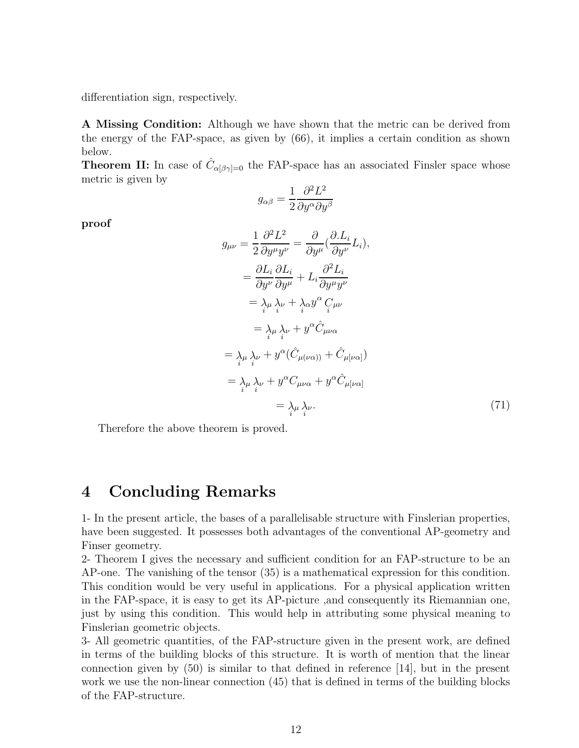differentiation sign, respectively.

A Missing Condition: Although we have shown that the metric can be derived from the energy of the FAP-space, as given by (66), it implies a certain condition as shown below.

**Theorem II:** In case of  $\hat{C}_{\alpha[\beta\gamma]=0}$  the FAP-space has an associated Finsler space whose metric is given by

$$
g_{\alpha\beta} = \frac{1}{2} \frac{\partial^2 L^2}{\partial y^\alpha \partial y^\beta}
$$

proof

$$
g_{\mu\nu} = \frac{1}{2} \frac{\partial^2 L^2}{\partial y^\mu y^\nu} = \frac{\partial}{\partial y^\mu} (\frac{\partial L_i}{\partial y^\nu} L_i),
$$
  
\n
$$
= \frac{\partial L_i}{\partial y^\nu} \frac{\partial L_i}{\partial y^\mu} + L_i \frac{\partial^2 L_i}{\partial y^\mu y^\nu}
$$
  
\n
$$
= \lambda_{\mu} \lambda_{\nu} + \lambda_{\alpha} y^{\alpha} C_{\mu\nu}
$$
  
\n
$$
= \lambda_{\mu} \lambda_{\nu} + y^{\alpha} \hat{C}_{\mu\nu\alpha}
$$
  
\n
$$
= \lambda_{\mu} \lambda_{\nu} + y^{\alpha} (\hat{C}_{\mu(\nu\alpha)}) + \hat{C}_{\mu[\nu\alpha]})
$$
  
\n
$$
= \lambda_{\mu} \lambda_{\nu} + y^{\alpha} C_{\mu\nu\alpha} + y^{\alpha} \hat{C}_{\mu[\nu\alpha]}
$$
  
\n
$$
= \lambda_{\mu} \lambda_{\nu}.
$$
  
\n(71)

Therefore the above theorem is proved.

### 4 Concluding Remarks

1- In the present article, the bases of a parallelisable structure with Finslerian properties, have been suggested. It possesses both advantages of the conventional AP-geometry and Finser geometry.

2- Theorem I gives the necessary and sufficient condition for an FAP-structure to be an AP-one. The vanishing of the tensor (35) is a mathematical expression for this condition. This condition would be very useful in applications. For a physical application written in the FAP-space, it is easy to get its AP-picture ,and consequently its Riemannian one, just by using this condition. This would help in attributing some physical meaning to Finslerian geometric objects.

3- All geometric quantities, of the FAP-structure given in the present work, are defined in terms of the building blocks of this structure. It is worth of mention that the linear connection given by  $(50)$  is similar to that defined in reference [14], but in the present work we use the non-linear connection (45) that is defined in terms of the building blocks of the FAP-structure.